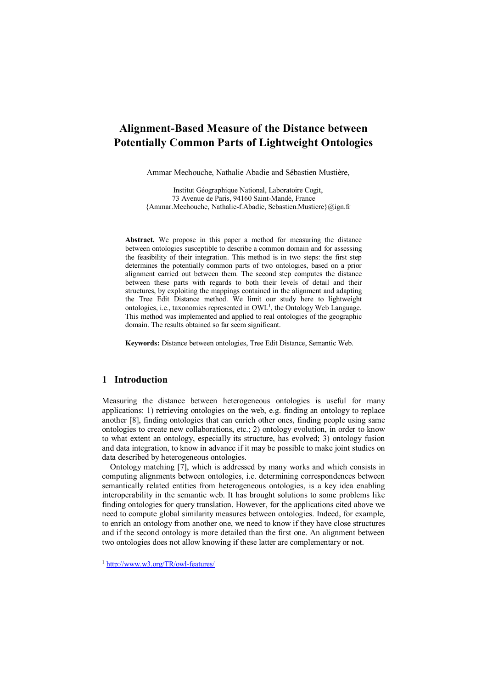# **Alignment-Based Measure of the Distance between Potentially Common Parts of Lightweight Ontologies**

Ammar Mechouche, Nathalie Abadie and Sébastien Mustière,

Institut Géographique National, Laboratoire Cogit, 73 Avenue de Paris, 94160 Saint-Mandé, France {Ammar.Mechouche, Nathalie-f.Abadie, Sebastien.Mustiere}@ign.fr

**Abstract.** We propose in this paper a method for measuring the distance between ontologies susceptible to describe a common domain and for assessing the feasibility of their integration. This method is in two steps: the first step determines the potentially common parts of two ontologies, based on a prior alignment carried out between them. The second step computes the distance between these parts with regards to both their levels of detail and their structures, by exploiting the mappings contained in the alignment and adapting the Tree Edit Distance method. We limit our study here to lightweight ontologies, i.e., taxonomies represented in OWL<sup>1</sup>, the Ontology Web Language. This method was implemented and applied to real ontologies of the geographic domain. The results obtained so far seem significant.

**Keywords:** Distance between ontologies, Tree Edit Distance, Semantic Web.

## **1 Introduction**

Measuring the distance between heterogeneous ontologies is useful for many applications: 1) retrieving ontologies on the web, e.g. finding an ontology to replace another [8], finding ontologies that can enrich other ones, finding people using same ontologies to create new collaborations, etc.; 2) ontology evolution, in order to know to what extent an ontology, especially its structure, has evolved; 3) ontology fusion and data integration, to know in advance if it may be possible to make joint studies on data described by heterogeneous ontologies.

 Ontology matching [7], which is addressed by many works and which consists in computing alignments between ontologies, i.e. determining correspondences between semantically related entities from heterogeneous ontologies, is a key idea enabling interoperability in the semantic web. It has brought solutions to some problems like finding ontologies for query translation. However, for the applications cited above we need to compute global similarity measures between ontologies. Indeed, for example, to enrich an ontology from another one, we need to know if they have close structures and if the second ontology is more detailed than the first one. An alignment between two ontologies does not allow knowing if these latter are complementary or not.

<sup>1</sup> <http://www.w3.org/TR/owl-features/>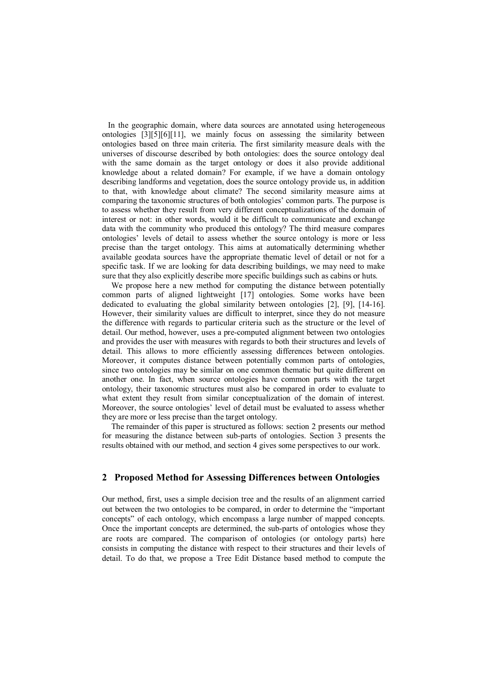In the geographic domain, where data sources are annotated using heterogeneous ontologies [3][5][6][11], we mainly focus on assessing the similarity between ontologies based on three main criteria. The first similarity measure deals with the universes of discourse described by both ontologies: does the source ontology deal with the same domain as the target ontology or does it also provide additional knowledge about a related domain? For example, if we have a domain ontology describing landforms and vegetation, does the source ontology provide us, in addition to that, with knowledge about climate? The second similarity measure aims at comparing the taxonomic structures of both ontologies' common parts. The purpose is to assess whether they result from very different conceptualizations of the domain of interest or not: in other words, would it be difficult to communicate and exchange data with the community who produced this ontology? The third measure compares ontologies' levels of detail to assess whether the source ontology is more or less precise than the target ontology. This aims at automatically determining whether available geodata sources have the appropriate thematic level of detail or not for a specific task. If we are looking for data describing buildings, we may need to make sure that they also explicitly describe more specific buildings such as cabins or huts.

We propose here a new method for computing the distance between potentially common parts of aligned lightweight [17] ontologies. Some works have been dedicated to evaluating the global similarity between ontologies [2], [9], [14-16]. However, their similarity values are difficult to interpret, since they do not measure the difference with regards to particular criteria such as the structure or the level of detail. Our method, however, uses a pre-computed alignment between two ontologies and provides the user with measures with regards to both their structures and levels of detail. This allows to more efficiently assessing differences between ontologies. Moreover, it computes distance between potentially common parts of ontologies, since two ontologies may be similar on one common thematic but quite different on another one. In fact, when source ontologies have common parts with the target ontology, their taxonomic structures must also be compared in order to evaluate to what extent they result from similar conceptualization of the domain of interest. Moreover, the source ontologies' level of detail must be evaluated to assess whether they are more or less precise than the target ontology.

The remainder of this paper is structured as follows: section 2 presents our method for measuring the distance between sub-parts of ontologies. Section 3 presents the results obtained with our method, and section 4 gives some perspectives to our work.

### **2 Proposed Method for Assessing Differences between Ontologies**

Our method, first, uses a simple decision tree and the results of an alignment carried out between the two ontologies to be compared, in order to determine the "important concepts" of each ontology, which encompass a large number of mapped concepts. Once the important concepts are determined, the sub-parts of ontologies whose they are roots are compared. The comparison of ontologies (or ontology parts) here consists in computing the distance with respect to their structures and their levels of detail. To do that, we propose a Tree Edit Distance based method to compute the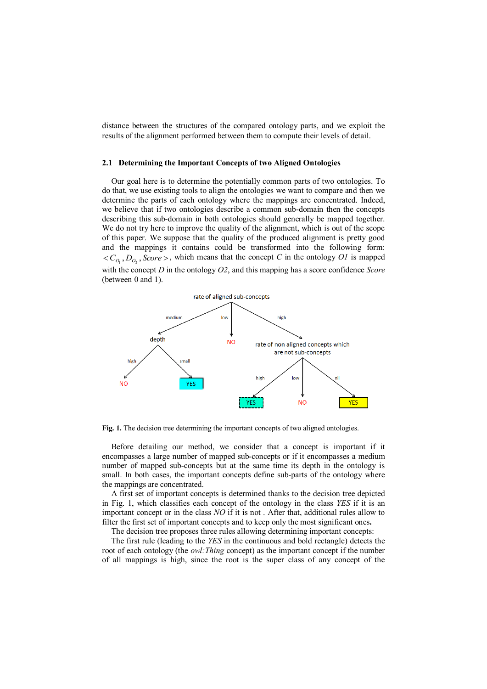distance between the structures of the compared ontology parts, and we exploit the results of the alignment performed between them to compute their levels of detail.

#### **2.1 Determining the Important Concepts of two Aligned Ontologies**

Our goal here is to determine the potentially common parts of two ontologies. To do that, we use existing tools to align the ontologies we want to compare and then we determine the parts of each ontology where the mappings are concentrated. Indeed, we believe that if two ontologies describe a common sub-domain then the concepts describing this sub-domain in both ontologies should generally be mapped together. We do not try here to improve the quality of the alignment, which is out of the scope of this paper. We suppose that the quality of the produced alignment is pretty good and the mappings it contains could be transformed into the following form:  $\langle C_{O_1}, D_{O_2}, \text{Score} \rangle$ , which means that the concept *C* in the ontology *O1* is mapped with the concept *D* in the ontology *O2*, and this mapping has a score confidence *Score* (between 0 and 1).



**Fig. 1.** The decision tree determining the important concepts of two aligned ontologies.

Before detailing our method, we consider that a concept is important if it encompasses a large number of mapped sub-concepts or if it encompasses a medium number of mapped sub-concepts but at the same time its depth in the ontology is small. In both cases, the important concepts define sub-parts of the ontology where the mappings are concentrated.

A first set of important concepts is determined thanks to the decision tree depicted in Fig. 1, which classifies each concept of the ontology in the class *YES* if it is an important concept or in the class *NO* if it is not . After that, additional rules allow to filter the first set of important concepts and to keep only the most significant ones**.** 

The decision tree proposes three rules allowing determining important concepts:

The first rule (leading to the *YES* in the continuous and bold rectangle) detects the root of each ontology (the *owl:Thing* concept) as the important concept if the number of all mappings is high, since the root is the super class of any concept of the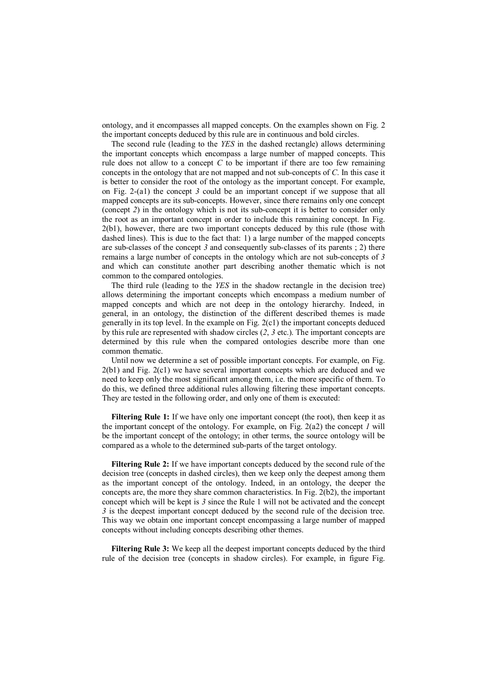ontology, and it encompasses all mapped concepts. On the examples shown on Fig. 2 the important concepts deduced by this rule are in continuous and bold circles.

The second rule (leading to the *YES* in the dashed rectangle) allows determining the important concepts which encompass a large number of mapped concepts. This rule does not allow to a concept *C* to be important if there are too few remaining concepts in the ontology that are not mapped and not sub-concepts of *C*. In this case it is better to consider the root of the ontology as the important concept. For example, on Fig. 2-(a1) the concept *3* could be an important concept if we suppose that all mapped concepts are its sub-concepts. However, since there remains only one concept (concept *2*) in the ontology which is not its sub-concept it is better to consider only the root as an important concept in order to include this remaining concept. In Fig. 2(b1), however, there are two important concepts deduced by this rule (those with dashed lines). This is due to the fact that: 1) a large number of the mapped concepts are sub-classes of the concept *3* and consequently sub-classes of its parents ; 2) there remains a large number of concepts in the ontology which are not sub-concepts of *3* and which can constitute another part describing another thematic which is not common to the compared ontologies.

The third rule (leading to the *YES* in the shadow rectangle in the decision tree) allows determining the important concepts which encompass a medium number of mapped concepts and which are not deep in the ontology hierarchy. Indeed, in general, in an ontology, the distinction of the different described themes is made generally in its top level. In the example on Fig. 2(c1) the important concepts deduced by this rule are represented with shadow circles (*2*, *3* etc.). The important concepts are determined by this rule when the compared ontologies describe more than one common thematic.

Until now we determine a set of possible important concepts. For example, on Fig. 2(b1) and Fig. 2(c1) we have several important concepts which are deduced and we need to keep only the most significant among them, i.e. the more specific of them. To do this, we defined three additional rules allowing filtering these important concepts. They are tested in the following order, and only one of them is executed:

**Filtering Rule 1:** If we have only one important concept (the root), then keep it as the important concept of the ontology. For example, on Fig. 2(a2) the concept *1* will be the important concept of the ontology; in other terms, the source ontology will be compared as a whole to the determined sub-parts of the target ontology.

**Filtering Rule 2:** If we have important concepts deduced by the second rule of the decision tree (concepts in dashed circles), then we keep only the deepest among them as the important concept of the ontology. Indeed, in an ontology, the deeper the concepts are, the more they share common characteristics. In Fig. 2(b2), the important concept which will be kept is *3* since the Rule 1 will not be activated and the concept *3* is the deepest important concept deduced by the second rule of the decision tree. This way we obtain one important concept encompassing a large number of mapped concepts without including concepts describing other themes.

**Filtering Rule 3:** We keep all the deepest important concepts deduced by the third rule of the decision tree (concepts in shadow circles). For example, in figure Fig.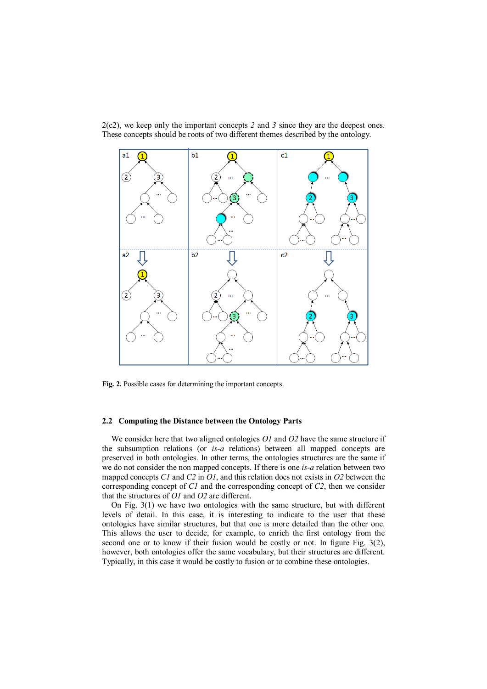

2(c2), we keep only the important concepts *2* and *3* since they are the deepest ones. These concepts should be roots of two different themes described by the ontology.

**Fig. 2.** Possible cases for determining the important concepts.

#### **2.2 Computing the Distance between the Ontology Parts**

We consider here that two aligned ontologies *O1* and *O2* have the same structure if the subsumption relations (or *is-a* relations) between all mapped concepts are preserved in both ontologies. In other terms, the ontologies structures are the same if we do not consider the non mapped concepts. If there is one *is-a* relation between two mapped concepts *C1* and *C2* in *O1*, and this relation does not exists in *O2* between the corresponding concept of *C1* and the corresponding concept of *C2*, then we consider that the structures of *O1* and *O2* are different.

On Fig. 3(1) we have two ontologies with the same structure, but with different levels of detail. In this case, it is interesting to indicate to the user that these ontologies have similar structures, but that one is more detailed than the other one. This allows the user to decide, for example, to enrich the first ontology from the second one or to know if their fusion would be costly or not. In figure Fig. 3(2), however, both ontologies offer the same vocabulary, but their structures are different. Typically, in this case it would be costly to fusion or to combine these ontologies.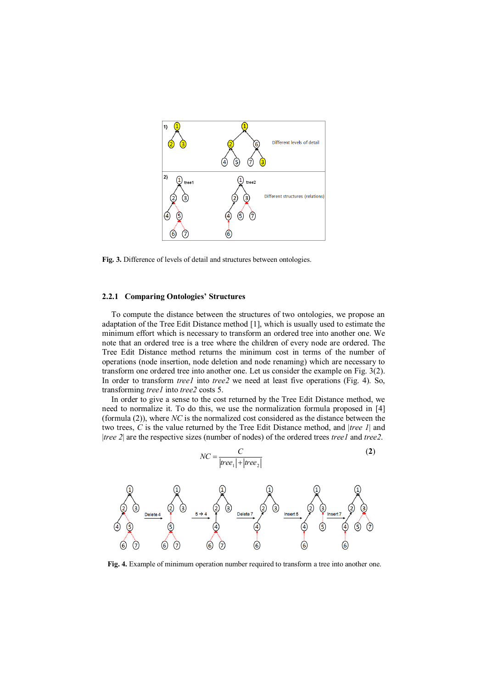

**Fig. 3.** Difference of levels of detail and structures between ontologies.

#### **2.2.1 Comparing Ontologies' Structures**

To compute the distance between the structures of two ontologies, we propose an adaptation of the Tree Edit Distance method [1], which is usually used to estimate the minimum effort which is necessary to transform an ordered tree into another one. We note that an ordered tree is a tree where the children of every node are ordered. The Tree Edit Distance method returns the minimum cost in terms of the number of operations (node insertion, node deletion and node renaming) which are necessary to transform one ordered tree into another one. Let us consider the example on Fig. 3(2). In order to transform *tree1* into *tree2* we need at least five operations (Fig. 4). So, transforming *tree1* into *tree2* costs 5.

In order to give a sense to the cost returned by the Tree Edit Distance method, we need to normalize it. To do this, we use the normalization formula proposed in [4] (formula (2)), where *NC* is the normalized cost considered as the distance between the two trees, *C* is the value returned by the Tree Edit Distance method, and |*tree 1*| and |*tree 2*| are the respective sizes (number of nodes) of the ordered trees *tree1* and *tree2*.

$$
NC = \frac{C}{|tree_1| + |tree_2|}
$$
 (2)



**Fig. 4.** Example of minimum operation number required to transform a tree into another one.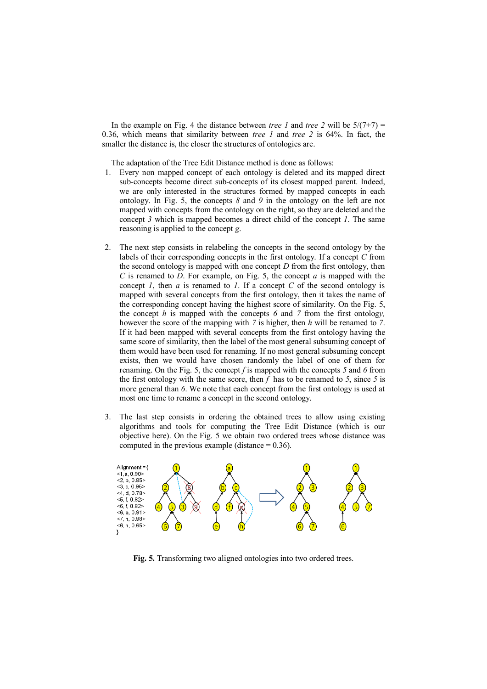In the example on Fig. 4 the distance between *tree 1* and *tree 2* will be  $5/(7+7)$  = 0.36, which means that similarity between *tree 1* and *tree 2* is 64%. In fact, the smaller the distance is, the closer the structures of ontologies are.

The adaptation of the Tree Edit Distance method is done as follows:

- 1. Every non mapped concept of each ontology is deleted and its mapped direct sub-concepts become direct sub-concepts of its closest mapped parent. Indeed, we are only interested in the structures formed by mapped concepts in each ontology. In Fig. 5, the concepts *8* and *9* in the ontology on the left are not mapped with concepts from the ontology on the right, so they are deleted and the concept *3* which is mapped becomes a direct child of the concept *1*. The same reasoning is applied to the concept *g*.
- 2. The next step consists in relabeling the concepts in the second ontology by the labels of their corresponding concepts in the first ontology. If a concept *C* from the second ontology is mapped with one concept *D* from the first ontology, then *C* is renamed to *D*. For example, on Fig. 5, the concept *a* is mapped with the concept *1*, then *a* is renamed to *1*. If a concept *C* of the second ontology is mapped with several concepts from the first ontology, then it takes the name of the corresponding concept having the highest score of similarity. On the Fig. 5, the concept *h* is mapped with the concepts *6* and *7* from the first ontolog*y,* however the score of the mapping with *7* is higher, then *h* will be renamed to *7*. If it had been mapped with several concepts from the first ontology having the same score of similarity, then the label of the most general subsuming concept of them would have been used for renaming. If no most general subsuming concept exists, then we would have chosen randomly the label of one of them for renaming. On the Fig. 5, the concept *f* is mapped with the concepts *5* and *6* from the first ontology with the same score, then  $f$  has to be renamed to  $5$ , since  $5$  is more general than *6*. We note that each concept from the first ontology is used at most one time to rename a concept in the second ontology.
- 3. The last step consists in ordering the obtained trees to allow using existing algorithms and tools for computing the Tree Edit Distance (which is our objective here). On the Fig. 5 we obtain two ordered trees whose distance was computed in the previous example (distance  $= 0.36$ ).



**Fig. 5.** Transforming two aligned ontologies into two ordered trees.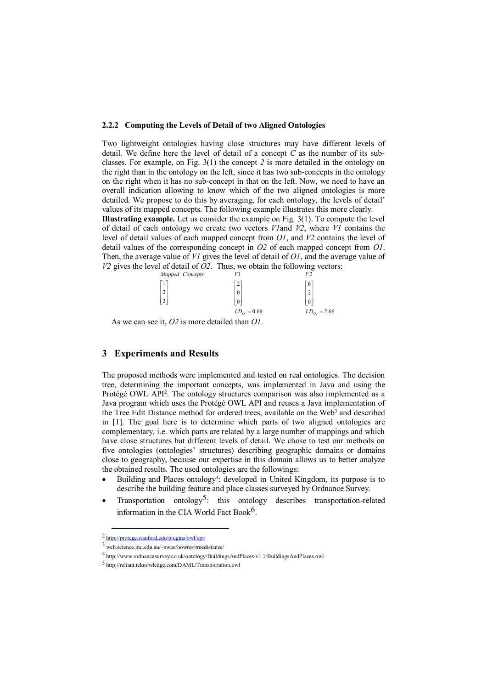#### **2.2.2 Computing the Levels of Detail of two Aligned Ontologies**

Two lightweight ontologies having close structures may have different levels of detail. We define here the level of detail of a concept *C* as the number of its subclasses. For example, on Fig. 3(1) the concept *2* is more detailed in the ontology on the right than in the ontology on the left, since it has two sub-concepts in the ontology on the right when it has no sub-concept in that on the left. Now, we need to have an overall indication allowing to know which of the two aligned ontologies is more detailed. We propose to do this by averaging, for each ontology, the levels of detail' values of its mapped concepts. The following example illustrates this more clearly.

**Illustrating example.** Let us consider the example on Fig. 3(1). To compute the level of detail of each ontology we create two vectors *V1*and *V2*, where *V1* contains the level of detail values of each mapped concept from *O1*, and *V2* contains the level of detail values of the corresponding concept in *O2* of each mapped concept from *O1*. Then, the average value of *V1* gives the level of detail of *O1*, and the average value of *V2* gives the level of detail of *O2*. Thus, we obtain the following vectors:

| Mapped Concepts |                   | V2                      |
|-----------------|-------------------|-------------------------|
| $\mathbf{r}$    | 2                 | 6                       |
| $2 \frac{1}{2}$ | $\boldsymbol{0}$  | $\overline{\mathbf{c}}$ |
| $\overline{3}$  | $\mathbf{0}$      | $\theta$                |
|                 | $LD_{O_1} = 0.66$ | $LD_{0}$ , = 2.66       |

As we can see it, *O2* is more detailed than *O1*.

# **3 Experiments and Results**

The proposed methods were implemented and tested on real ontologies. The decision tree, determining the important concepts, was implemented in Java and using the Protégé OWL API<sup>2</sup>. The ontology structures comparison was also implemented as a Java program which uses the Protégé OWL API and reuses a Java implementation of the Tree Edit Distance method for ordered trees, available on the Web<sup>3</sup> and described in [1]. The goal here is to determine which parts of two aligned ontologies are complementary, i.e. which parts are related by a large number of mappings and which have close structures but different levels of detail. We chose to test our methods on five ontologies (ontologies' structures) describing geographic domains or domains close to geography, because our expertise in this domain allows us to better analyze the obtained results. The used ontologies are the followings:

- Building and Places ontology<sup>4</sup>: developed in United Kingdom, its purpose is to describe the building feature and place classes surveyed by Ordnance Survey.
- Transportation ontology<sup>5</sup>: this ontology describes transportation-related information in the CIA World Fact Book<sup>6</sup>.

<sup>2</sup> <http://protege.stanford.edu/plugins/owl/api/>

<sup>3</sup> web.science.mq.edu.au/~swan/howtos/treedistance/

<sup>4</sup> http://www.ordnancesurvey.co.uk/ontology/BuildingsAndPlaces/v1.1/BuildingsAndPlaces.owl

<sup>5</sup> http://reliant.teknowledge.com/DAML/Transportation.owl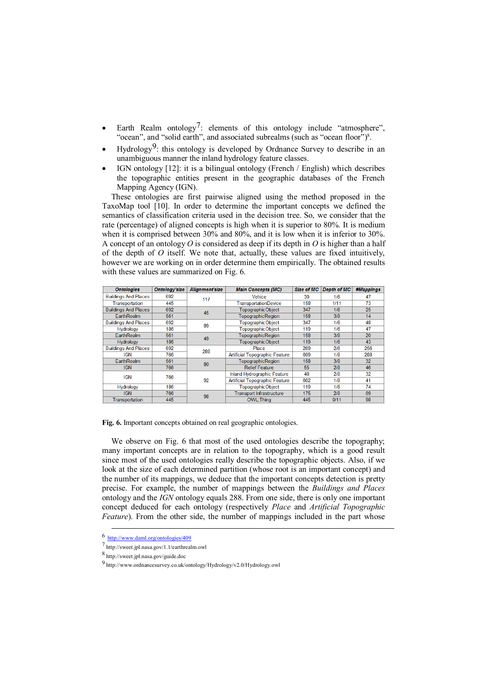- Earth Realm ontology<sup>7</sup>: elements of this ontology include "atmosphere", "ocean", and "solid earth", and associated subrealms (such as "ocean floor")<sup>8</sup>.
- Hydrology<sup>9</sup>: this ontology is developed by Ordnance Survey to describe in an unambiguous manner the inland hydrology feature classes.
- IGN ontology [12]: it is a bilingual ontology (French / English) which describes the topographic entities present in the geographic databases of the French Mapping Agency (IGN).

These ontologies are first pairwise aligned using the method proposed in the TaxoMap tool [10]. In order to determine the important concepts we defined the semantics of classification criteria used in the decision tree. So, we consider that the rate (percentage) of aligned concepts is high when it is superior to 80%. It is medium when it is comprised between 30% and 80%, and it is low when it is inferior to 30%. A concept of an ontology *O* is considered as deep if its depth in *O* is higher than a half of the depth of *O* itself. We note that, actually, these values are fixed intuitively, however we are working on in order determine them empirically. The obtained results with these values are summarized on Fig. 6.

| <b>Ontologies</b>           | <b>Ontology'size</b> | Alianment'size | <b>Main Concepts (MC)</b>             | <b>Size of MC</b> | <b>Depth of MC</b> | #Mappings |
|-----------------------------|----------------------|----------------|---------------------------------------|-------------------|--------------------|-----------|
| <b>Buildings And Places</b> | 692                  | 117            | Vehice                                | 30                | 1/6                | 47        |
| Transportation              | 445                  |                | <b>TransportationDevice</b>           | 158               | 1/11               | 73        |
| <b>Buildings And Places</b> | 692                  | 45             | TopographicObject                     | 347               | 1/6                | 25        |
| EarthRealm                  | 561                  |                | <b>TopographicRegion</b>              | 158               | 3/8                | 14        |
| <b>Buildings And Places</b> | 692                  | 89             | TopographicObject                     | 347               | 1/6                | 48        |
| <b>Hydrology</b>            | 186                  |                | TopographicObject                     | 119               | 1/6                | 47        |
| EarthRealm                  | 561                  | 49             | <b>TopographicRegion</b>              | 158               | 3/8                | 20        |
| <b>Hydrology</b>            | 186                  |                | TopographicObject                     | 119               | 1/6                | 43        |
| <b>Buildings And Places</b> | 692                  | 288            | Place                                 | 269               | 2/6                | 256       |
| <b>IGN</b>                  | 766                  |                | <b>Artificial Topographic Feature</b> | 609               | 1/8                | 288       |
| <b>EarthRealm</b>           | 561                  | 80             | <b>TopographicRegion</b>              | 158               | 3/8                | 32        |
| <b>IGN</b>                  | 766                  |                | <b>Relief Feature</b>                 | 55                | 2/8                | 46        |
| <b>IGN</b>                  | 766                  | 92             | Inland Hydrographic Feature           | 48                | 2/8                | 32        |
|                             |                      |                | <b>Artificial Topographic Feature</b> | 602               | 1/8                | 41        |
| <b>Hydrology</b>            | 186                  |                | TopographicObject                     | 119               | 1/6                | 74        |
| <b>IGN</b>                  | 766                  | 98             | <b>Transport Infrastructure</b>       | 175               | 2/8                | 69        |
| Transportation              | 445                  |                | <b>OWL:Thing</b>                      | 445               | 0/11               | 98        |

**Fig. 6.** Important concepts obtained on real geographic ontologies.

We observe on Fig. 6 that most of the used ontologies describe the topography: many important concepts are in relation to the topography, which is a good result since most of the used ontologies really describe the topographic objects. Also, if we look at the size of each determined partition (whose root is an important concept) and the number of its mappings, we deduce that the important concepts detection is pretty precise. For example, the number of mappings between the *Buildings and Places* ontology and the *IGN* ontology equals 288. From one side, there is only one important concept deduced for each ontology (respectively *Place* and *Artificial Topographic Feature*). From the other side, the number of mappings included in the part whose

<sup>6</sup> <http://www.daml.org/ontologies/409>

<sup>7</sup> http://sweet.jpl.nasa.gov/1.1/earthrealm.owl

<sup>8</sup> http://sweet.jpl.nasa.gov/guide.doc

<sup>9</sup> http://www.ordnancesurvey.co.uk/ontology/Hydrology/v2.0/Hydrology.owl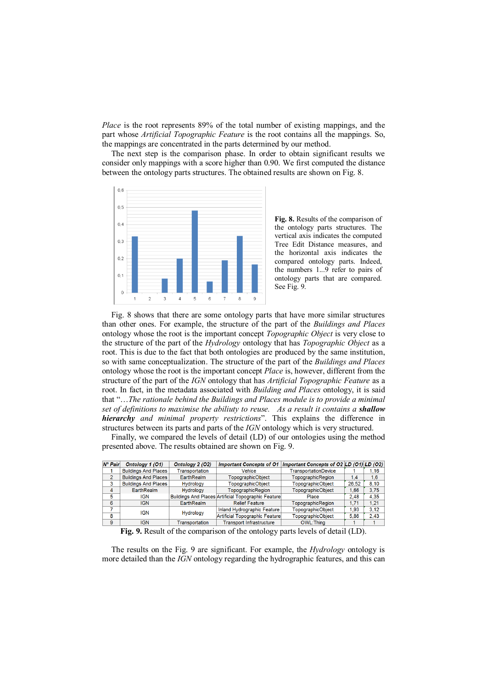*Place* is the root represents 89% of the total number of existing mappings, and the part whose *Artificial Topographic Feature* is the root contains all the mappings. So, the mappings are concentrated in the parts determined by our method.

The next step is the comparison phase. In order to obtain significant results we consider only mappings with a score higher than 0.90. We first computed the distance between the ontology parts structures. The obtained results are shown on Fig. 8.



**Fig. 8.** Results of the comparison of the ontology parts structures. The vertical axis indicates the computed Tree Edit Distance measures, and the horizontal axis indicates the compared ontology parts. Indeed, the numbers 1...9 refer to pairs of ontology parts that are compared. See Fig. 9.

Fig. 8 shows that there are some ontology parts that have more similar structures than other ones. For example, the structure of the part of the *Buildings and Places* ontology whose the root is the important concept *Topographic Object* is very close to the structure of the part of the *Hydrology* ontology that has *Topographic Object* as a root. This is due to the fact that both ontologies are produced by the same institution, so with same conceptualization. The structure of the part of the *Buildings and Places* ontology whose the root is the important concept *Place* is, however, different from the structure of the part of the *IGN* ontology that has *Artificial Topographic Feature* as a root. In fact, in the metadata associated with *Building and Places* ontology, it is said that "…*The rationale behind the Buildings and Places module is to provide a minimal set of definitions to maximise the abiliuty to reuse. As a result it contains a shallow hierarchy and minimal property restrictions*". This explains the difference in structures between its parts and parts of the *IGN* ontology which is very structured.

Finally, we compared the levels of detail (LD) of our ontologies using the method presented above. The results obtained are shown on Fig. 9.

| $N^{\circ}$ Pair | Ontology 1 (O1)             | Ontology 2 (O2)                | <b>Important Concepts of O1</b>                            | Important Concepts of O2 LD (O1) LD (O2) |       |      |
|------------------|-----------------------------|--------------------------------|------------------------------------------------------------|------------------------------------------|-------|------|
|                  | <b>Buildings And Places</b> | Transportation                 | Vehice                                                     | <b>TransportationDevice</b>              |       | 1.16 |
| $\overline{2}$   | <b>Buildings And Places</b> | <b>EarthRealm</b>              | <b>TopographicObiect</b>                                   | TopographicRegion                        | 1.4   | 1,6  |
| 3                | <b>Buildings And Places</b> | Hydrology                      | TopographicObject                                          | <b>TopographicObject</b>                 | 26.52 | 8.10 |
| 4                | <b>EarthRealm</b>           | Hydrology                      | TopographicRegion                                          | TopographicObject                        | 1.66  | 3.75 |
| 5                | IGN                         |                                | <b>Buildings And Places Artificial Topographic Feature</b> | Place                                    | 2.48  | 4.35 |
| 6                | <b>IGN</b>                  | <b>EarthRealm</b>              | <b>Relief Feature</b>                                      | TopographicRegion                        | 1.71  | 1.21 |
|                  | IGN                         |                                | Inland Hydrographic Feature                                | TopographicObject                        | 1.93  | 3.12 |
| 8                | <b>Hydrology</b>            | Artificial Topographic Feature | TopographicObject                                          | 5.86                                     | 2.43  |      |
| 9                | <b>IGN</b>                  | Transportation                 | <b>Transport Infrastructure</b>                            | OWL: Thing                               |       |      |

**Fig. 9.** Result of the comparison of the ontology parts levels of detail (LD).

The results on the Fig. 9 are significant. For example, the *Hydrology* ontology is more detailed than the *IGN* ontology regarding the hydrographic features, and this can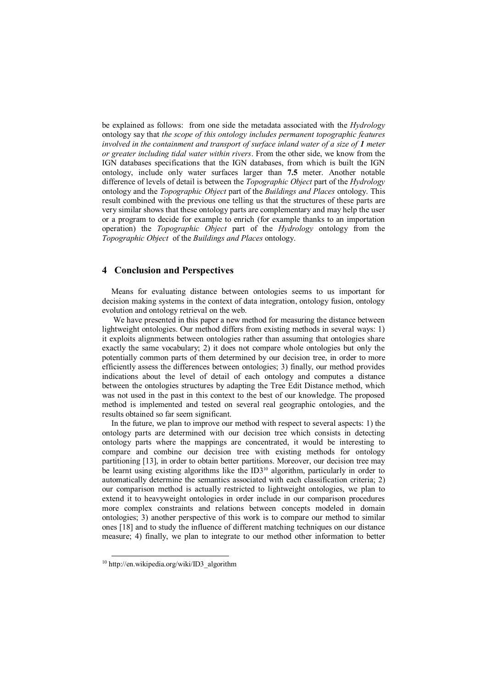be explained as follows: from one side the metadata associated with the *Hydrology* ontology say that *the scope of this ontology includes permanent topographic features involved in the containment and transport of surface inland water of a size of 1 meter or greater including tidal water within rivers*. From the other side, we know from the IGN databases specifications that the IGN databases, from which is built the IGN ontology, include only water surfaces larger than **7.5** meter. Another notable difference of levels of detail is between the *Topographic Object* part of the *Hydrology* ontology and the *Topographic Object* part of the *Buildings and Places* ontology. This result combined with the previous one telling us that the structures of these parts are very similar shows that these ontology parts are complementary and may help the user or a program to decide for example to enrich (for example thanks to an importation operation) the *Topographic Object* part of the *Hydrology* ontology from the *Topographic Object* of the *Buildings and Places* ontology.

### **4 Conclusion and Perspectives**

Means for evaluating distance between ontologies seems to us important for decision making systems in the context of data integration, ontology fusion, ontology evolution and ontology retrieval on the web.

We have presented in this paper a new method for measuring the distance between lightweight ontologies. Our method differs from existing methods in several ways: 1) it exploits alignments between ontologies rather than assuming that ontologies share exactly the same vocabulary; 2) it does not compare whole ontologies but only the potentially common parts of them determined by our decision tree, in order to more efficiently assess the differences between ontologies; 3) finally, our method provides indications about the level of detail of each ontology and computes a distance between the ontologies structures by adapting the Tree Edit Distance method, which was not used in the past in this context to the best of our knowledge. The proposed method is implemented and tested on several real geographic ontologies, and the results obtained so far seem significant.

In the future, we plan to improve our method with respect to several aspects: 1) the ontology parts are determined with our decision tree which consists in detecting ontology parts where the mappings are concentrated, it would be interesting to compare and combine our decision tree with existing methods for ontology partitioning [13], in order to obtain better partitions. Moreover, our decision tree may be learnt using existing algorithms like the  $ID3^{10}$  algorithm, particularly in order to automatically determine the semantics associated with each classification criteria; 2) our comparison method is actually restricted to lightweight ontologies, we plan to extend it to heavyweight ontologies in order include in our comparison procedures more complex constraints and relations between concepts modeled in domain ontologies; 3) another perspective of this work is to compare our method to similar ones [18] and to study the influence of different matching techniques on our distance measure; 4) finally, we plan to integrate to our method other information to better

<sup>10</sup> http://en.wikipedia.org/wiki/ID3\_algorithm